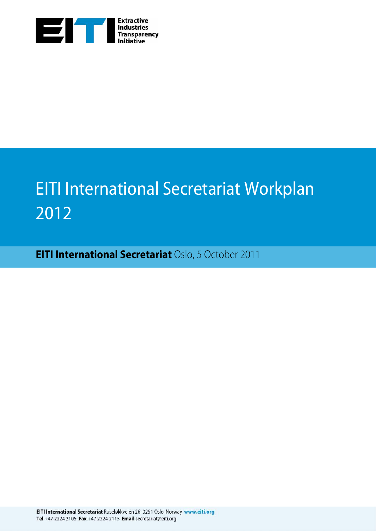

# EITI International Secretariat Workplan 2012

**EITI International Secretariat** Oslo, 5 October 2011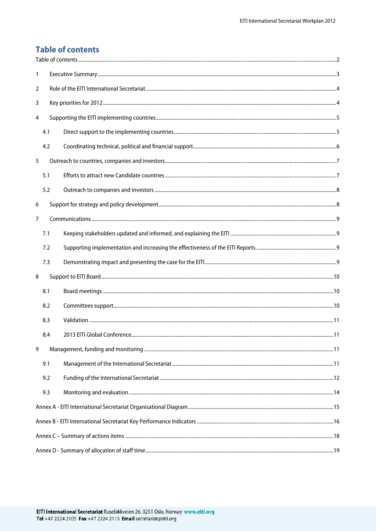# **Table of contents**

| 1              |  |
|----------------|--|
| 2              |  |
| 3              |  |
| 4              |  |
| 4.1            |  |
| 4.2            |  |
| 5              |  |
| 5.1            |  |
| 5.2            |  |
| 6              |  |
| $\overline{7}$ |  |
| 7.1            |  |
| 7.2            |  |
| 7.3            |  |
| 8              |  |
| 8.1            |  |
| 8.2            |  |
| 8.3            |  |
| 8.4            |  |
| 9              |  |
| 9.1            |  |
| 9.2            |  |
| 9.3            |  |
|                |  |
|                |  |
|                |  |
|                |  |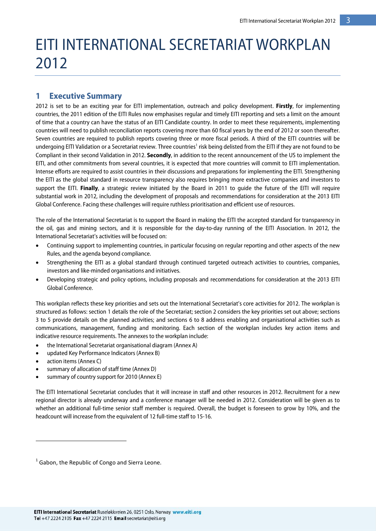# EITI INTERNATIONAL SECRETARIAT WORKPLAN 2012

## **1 Executive Summary**

2012 is set to be an exciting year for EITI implementation, outreach and policy development. **Firstly**, for implementing countries, the 2011 edition of the EITI Rules now emphasises regular and timely EITI reporting and sets a limit on the amount of time that a country can have the status of an EITI Candidate country. In order to meet these requirements, implementing countries will need to publish reconciliation reports covering more than 60 fiscal years by the end of 2012 or soon thereafter. Seven countries are required to publish reports covering three or more fiscal periods. A third of the EITI countries will be undergoing EITI Validation or a Secretariat review. Three countries<sup>1</sup> risk being delisted from the EITI if they are not found to be Compliant in their second Validation in 2012.**Secondly**, in addition to the recent announcement of the US to implement the EITI, and other commitments from several countries, it is expected that more countries will commit to EITI implementation. Intense efforts are required to assist countries in their discussions and preparations for implementing the EITI. Strengthening the EITI as the global standard in resource transparency also requires bringing more extractive companies and investors to support the EITI. **Finally**, a strategic review initiated by the Board in 2011 to guide the future of the EITI will require substantial work in 2012, including the development of proposals and recommendations for consideration at the 2013 EITI Global Conference. Facing these challenges will require ruthless prioritisation and efficient use of resources.

The role of the International Secretariat is to support the Board in making the EITI the accepted standard for transparency in the oil, gas and mining sectors, and it is responsible for the day-to-day running of the EITI Association. In 2012, the International Secretariat's activities will be focused on:

- Continuing support to implementing countries, in particular focusing on regular reporting and other aspects of the new Rules, and the agenda beyond compliance.
- Strengthening the EITI as a global standard through continued targeted outreach activities to countries, companies, investors and like-minded organisations and initiatives.
- Developing strategic and policy options, including proposals and recommendations for consideration at the 2013 EITI Global Conference.

This workplan reflects these key priorities and sets out the International Secretariat's core activities for 2012. The workplan is structured as follows: section 1 details the role of the Secretariat; section 2 considers the key priorities set out above; sections 3 to 5 provide details on the planned activities; and sections 6 to 8 address enabling and organisational activities such as communications, management, funding and monitoring. Each section of the workplan includes key action items and indicative resource requirements. The annexes to the workplan include:

- the International Secretariat organisational diagram (Annex A)
- updated Key Performance Indicators (Annex B)
- action items (Annex C)
- summary of allocation of staff time (Annex D)
- summary of country support for 2010 (Annex E)

The EITI International Secretariat concludes that it will increase in staff and other resources in 2012. Recruitment for a new regional director is already underway and a conference manager will be needed in 2012. Consideration will be given as to whether an additional full-time senior staff member is required. Overall, the budget is foreseen to grow by 10%, and the headcount will increase from the equivalent of 12 full-time staff to 15-16.

 $1$  Gabon, the Republic of Congo and Sierra Leone.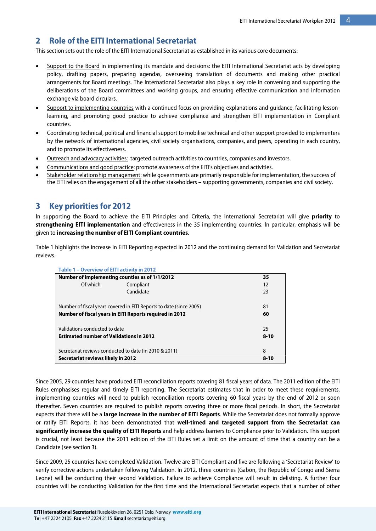## **2 Role of the EITI International Secretariat**

This section sets out the role of the EITI International Secretariat as established in its various core documents:

- Support to the Board in implementing its mandate and decisions: the EITI International Secretariat acts by developing policy, drafting papers, preparing agendas, overseeing translation of documents and making other practical arrangements for Board meetings. The International Secretariat also plays a key role in convening and supporting the deliberations of the Board committees and working groups, and ensuring effective communication and information exchange via board circulars.
- Support to implementing countries with a continued focus on providing explanations and guidance, facilitating lessonlearning, and promoting good practice to achieve compliance and strengthen EITI implementation in Compliant countries.
- Coordinating technical, political and financial support to mobilise technical and other support provided to implementers by the network of international agencies, civil society organisations, companies, and peers, operating in each country, and to promote its effectiveness.
- Outreach and advocacy activities: targeted outreach activities to countries, companies and investors.
- Communications and good practice: promote awareness of the EITI's objectives and activities.
- Stakeholder relationship management: while governments are primarily responsible for implementation, the success of the EITI relies on the engagement of all the other stakeholders – supporting governments, companies and civil society.

## **3 Key priorities for 2012**

**Table 1 – Overview of EITI activity in 2012**

In supporting the Board to achieve the EITI Principles and Criteria, the International Secretariat will give **priority** to **strengthening EITI implementation** and effectiveness in the 35 implementing countries. In particular, emphasis will be given to **increasing the number of EITI Compliant countries**.

Table 1 highlights the increase in EITI Reporting expected in 2012 and the continuing demand for Validation and Secretariat reviews.

|                                                | Number of implementing counties as of 1/1/2012                      | 35       |
|------------------------------------------------|---------------------------------------------------------------------|----------|
| Of which                                       | Compliant                                                           | 12       |
|                                                | Candidate                                                           | 23       |
|                                                | Number of fiscal years covered in EITI Reports to date (since 2005) | 81       |
|                                                | Number of fiscal years in EITI Reports required in 2012             | 60       |
| Validations conducted to date                  |                                                                     | 25       |
| <b>Estimated number of Validations in 2012</b> |                                                                     | $8 - 10$ |
|                                                | Secretariat reviews conducted to date (in 2010 & 2011)              | 8        |
| Secretariat reviews likely in 2012             |                                                                     | $8 - 10$ |

Since 2005, 29 countries have produced EITI reconciliation reports covering 81 fiscal years of data. The 2011 edition of the EITI Rules emphasises regular and timely EITI reporting. The Secretariat estimates that in order to meet these requirements, implementing countries will need to publish reconciliation reports covering 60 fiscal years by the end of 2012 or soon thereafter. Seven countries are required to publish reports covering three or more fiscal periods. In short, the Secretariat expects that there will be a **large increase in the number of EITI Reports**. While the Secretariat does not formally approve or ratify EITI Reports, it has been demonstrated that **well-timed and targeted support from the Secretariat can significantly increase the quality of EITI Reports** and help address barriers to Compliance prior to Validation. This support is crucial, not least because the 2011 edition of the EITI Rules set a limit on the amount of time that a country can be a Candidate (see section 3).

Since 2009, 25 countries have completed Validation. Twelve are EITI Compliant and five are following a 'Secretariat Review' to verify corrective actions undertaken following Validation. In 2012, three countries (Gabon, the Republic of Congo and Sierra Leone) will be conducting their second Validation. Failure to achieve Compliance will result in delisting. A further four countries will be conducting Validation for the first time and the International Secretariat expects that a number of other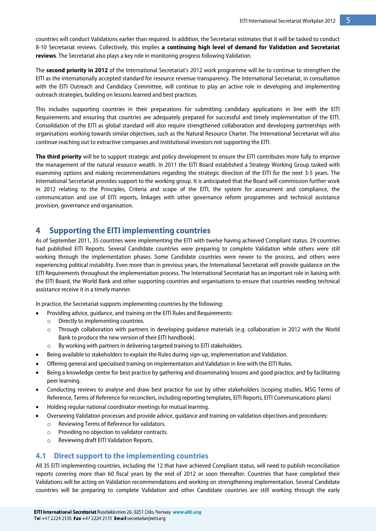countries will conduct Validations earlier than required. In addition, the Secretariat estimates that it will be tasked to conduct 8-10 Secretariat reviews. Collectively, this implies **a continuing high level of demand for Validation and Secretariat reviews**. The Secretariat also plays a key role in monitoring progress following Validation.

The **second priority in 2012** of the International Secretariat's 2012 work programme will be to continue to strengthen the EITI as the internationally accepted standard for resource revenue transparency. The International Secretariat, in consultation with the EITI Outreach and Candidacy Committee, will continue to play an active role in developing and implementing outreach strategies, building on lessons learned and best practices.

This includes supporting countries in their preparations for submitting candidacy applications in line with the EITI Requirements and ensuring that countries are adequately prepared for successful and timely implementation of the EITI. Consolidation of the EITI as global standard will also require strengthened collaboration and developing partnerships with organisations working towards similar objectives, such as the Natural Resource Charter. The International Secretariat will also continue reaching out to extractive companies and institutional investors not supporting the EITI.

**The third priority** will be to support strategic and policy development to ensure the EITI contributes more fully to improve the management of the natural resource wealth. In 2011 the EITI Board established a Strategy Working Group tasked with examining options and making recommendations regarding the strategic direction of the EITI for the next 3-5 years. The International Secretariat provides support to the working group. It is anticipated that the Board will commission further work in 2012 relating to the Principles, Criteria and scope of the EITI, the system for assessment and compliance, the communication and use of EITI reports, linkages with other governance reform programmes and technical assistance provision, governance and organisation.

## **4 Supporting the EITI implementing countries**

As of September 2011, 35 countries were implementing the EITI with twelve having achieved Compliant status. 29 countries had published EITI Reports. Several Candidate countries were preparing to complete Validation while others were still working through the implementation phases. Some Candidate countries were newer to the process, and others were experiencing political instability. Even more than in previous years, the International Secretariat will provide guidance on the EITI Requirements throughout the implementation process. The International Secretariat has an important role in liaising with the EITI Board, the World Bank and other supporting countries and organisations to ensure that countries needing technical assistance receive it in a timely manner.

In practice, the Secretariat supports implementing countries by the following:

- Providing advice, guidance, and training on the EITI Rules and Requirements:
	- o Directly to implementing countries.
	- $\circ$  Through collaboration with partners in developing guidance materials (e.g. collaboration in 2012 with the World Bank to produce the new version of their EITI handbook).
	- o By working with partners in delivering targeted training to EITI stakeholders.
- Being available to stakeholders to explain the Rules during sign-up, implementation and Validation.
- Offering general and specialised training on implementation and Validation in line with the EITI Rules.
- Being a knowledge centre for best practice by gathering and disseminating lessons and good practice, and by facilitating peer learning.
- Conducting reviews to analyse and draw best practice for use by other stakeholders (scoping studies, MSG Terms of Reference, Terms of Reference for reconcilers, including reporting templates, EITI Reports, EITI Communications plans)
- Holding regular national coordinator meetings for mutual learning.
- Overseeing Validation processes and provide advice, guidance and training on validation objectives and procedures:
	- o Reviewing Terms of Reference for validators.
	- o Providing no objection to validator contracts.
	- o Reviewing draft EITI Validation Reports.

## **4.1 Direct support to the implementing countries**

All 35 EITI implementing countries, including the 12 that have achieved Compliant status, will need to publish reconciliation reports covering more than 60 fiscal years by the end of 2012 or soon thereafter. Countries that have completed their Validations will be acting on Validation recommendations and working on strengthening implementation. Several Candidate countries will be preparing to complete Validation and other Candidate countries are still working through the early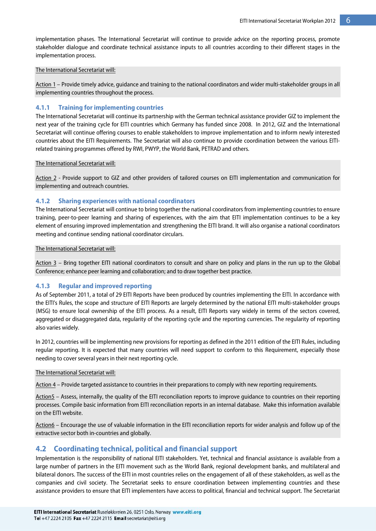implementation phases. The International Secretariat will continue to provide advice on the reporting process, promote stakeholder dialogue and coordinate technical assistance inputs to all countries according to their different stages in the implementation process.

#### The International Secretariat will:

Action 1 – Provide timely advice, guidance and training to the national coordinators and wider multi-stakeholder groups in all implementing countries throughout the process.

#### **4.1.1 Training for implementing countries**

The International Secretariat will continue its partnership with the German technical assistance provider GIZ to implement the next year of the training cycle for EITI countries which Germany has funded since 2008. In 2012, GIZ and the International Secretariat will continue offering courses to enable stakeholders to improve implementation and to inform newly interested countries about the EITI Requirements. The Secretariat will also continue to provide coordination between the various EITI related training programmes offered by RWI, PWYP, the World Bank, PETRAD and others.

#### The International Secretariat will:

Action 2 - Provide support to GIZ and other providers of tailored courses on EITI implementation and communication for implementing and outreach countries.

#### **4.1.2 Sharing experiences with national coordinators**

The International Secretariat will continue to bring together the national coordinators from implementing countries to ensure training, peer-to-peer learning and sharing of experiences, with the aim that EITI implementation continues to be a key element of ensuring improved implementation and strengthening the EITI brand. It will also organise a national coordinators meeting and continue sending national coordinator circulars.

## The International Secretariat will:

Action 3 – Bring together EITI national coordinators to consult and share on policy and plans in the run up to the Global Conference; enhance peer learning and collaboration; and to draw together best practice.

### **4.1.3 Regular and improved reporting**

As of September 2011, a total of 29 EITI Reports have been produced by countries implementing the EITI. In accordance with the EITI's Rules, the scope and structure of EITI Reports are largely determined by the national EITI multi-stakeholder groups (MSG) to ensure local ownership of the EITI process. As a result, EITI Reports vary widely in terms of the sectors covered, aggregated or disaggregated data, regularity of the reporting cycle and the reporting currencies. The regularity of reporting also varies widely.

In 2012, countries will be implementing new provisions for reporting as defined in the 2011 edition of the EITI Rules, including regular reporting. It is expected that many countries will need support to conform to this Requirement, especially those needing to cover several years in their next reporting cycle.

#### The International Secretariat will:

Action 4 – Provide targeted assistance to countries in their preparations to comply with new reporting requirements.

Action5 – Assess, internally, the quality of the EITI reconciliation reports to improve guidance to countries on their reporting processes. Compile basic information from EITI reconciliation reports in an internal database. Make this information available on the EITI website.

Action6 – Encourage the use of valuable information in the EITI reconciliation reports for wider analysis and follow up of the extractive sector both in-countries and globally.

## **4.2 Coordinating technical, political and financial support**

Implementation is the responsibility of national EITI stakeholders. Yet, technical and financial assistance is available from a large number of partners in the EITI movement such as the World Bank, regional development banks, and multilateral and bilateral donors. The success of the EITI in most countries relies on the engagement of all of these stakeholders, as well as the companies and civil society. The Secretariat seeks to ensure coordination between implementing countries and these assistance providers to ensure that EITI implementers have access to political, financial and technical support. The Secretariat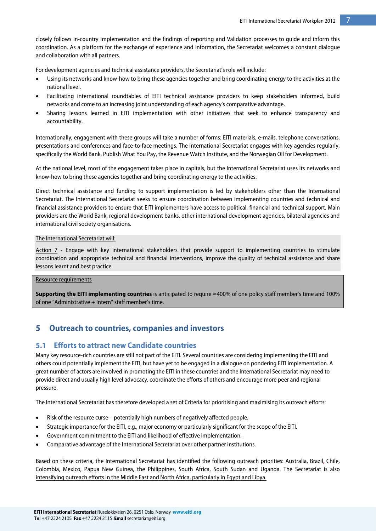closely follows in-country implementation and the findings of reporting and Validation processes to guide and inform this coordination. As a platform for the exchange of experience and information, the Secretariat welcomes a constant dialogue and collaboration with all partners.

For development agencies and technical assistance providers, the Secretariat's role will include:

- Using its networks and know-how to bring these agencies together and bring coordinating energy to the activities at the national level.
- Facilitating international roundtables of EITI technical assistance providers to keep stakeholders informed, build networks and come to an increasing joint understanding of each agency's comparative advantage.
- Sharing lessons learned in EITI implementation with other initiatives that seek to enhance transparency and accountability.

Internationally, engagement with these groups will take a number of forms: EITI materials, e-mails, telephone conversations, presentations and conferences and face-to-face meetings. The International Secretariat engages with key agencies regularly, specifically the World Bank, Publish What You Pay, the Revenue Watch Institute, and the Norwegian Oil for Development.

At the national level, most of the engagement takes place in capitals, but the International Secretariat uses its networks and know-how to bring these agencies together and bring coordinating energy to the activities.

Direct technical assistance and funding to support implementation is led by stakeholders other than the International Secretariat. The International Secretariat seeks to ensure coordination between implementing countries and technical and financial assistance providers to ensure that EITI implementers have access to political, financial and technical support. Main providers are the World Bank, regional development banks, other international development agencies, bilateral agencies and international civil society organisations.

#### The International Secretariat will:

Action 7 - Engage with key international stakeholders that provide support to implementing countries to stimulate coordination and appropriate technical and financial interventions, improve the quality of technical assistance and share lessons learnt and best practice.

#### Resource requirements

**Supporting the EITI implementing countries** is anticipated to require ≈400% of one policy staff member's time and 100% of one "Administrative + Intern" staff member's time.

## **5 Outreach to countries, companies and investors**

## **5.1 Efforts to attract new Candidate countries**

Many key resource-rich countries are still not part of the EITI. Several countries are considering implementing the EITI and others could potentially implement the EITI, but have yet to be engaged in a dialogue on pondering EITI implementation. A great number of actors are involved in promoting the EITI in these countries and the International Secretariat may need to provide direct and usually high level advocacy, coordinate the efforts of others and encourage more peer and regional pressure.

The International Secretariat has therefore developed a set of Criteria for prioritising and maximising its outreach efforts:

- Risk of the resource curse potentially high numbers of negatively affected people.
- Strategic importance for the EITI, e.g., major economy or particularly significant for the scope of the EITI.
- Government commitment to the EITI and likelihood of effective implementation.
- Comparative advantage of the International Secretariat over other partner institutions.

Based on these criteria, the International Secretariat has identified the following outreach priorities: Australia, Brazil, Chile, Colombia, Mexico, Papua New Guinea, the Philippines, South Africa, South Sudan and Uganda. The Secretariat is also intensifying outreach efforts in the Middle East and North Africa, particularly in Egypt and Libya.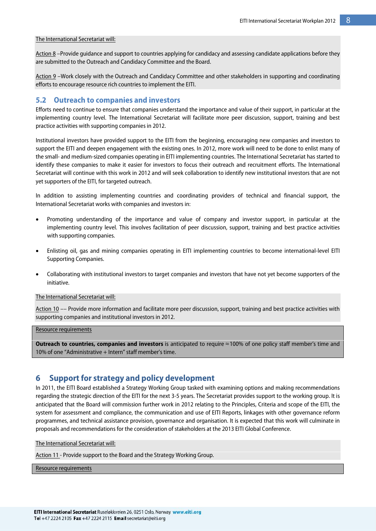#### The International Secretariat will:

Action 8 –Provide guidance and support to countries applying for candidacy and assessing candidate applications before they are submitted to the Outreach and Candidacy Committee and the Board.

Action 9 - Work closely with the Outreach and Candidacy Committee and other stakeholders in supporting and coordinating efforts to encourage resource rich countries to implement the EITI.

## **5.2 Outreach to companies and investors**

Efforts need to continue to ensure that companies understand the importance and value of their support, in particular at the implementing country level. The International Secretariat will facilitate more peer discussion, support, training and best practice activities with supporting companies in 2012.

Institutional investors have provided support to the EITI from the beginning, encouraging new companies and investors to support the EITI and deepen engagement with the existing ones. In 2012, more work will need to be done to enlist many of the small- and medium-sized companies operating in EITI implementing countries. The International Secretariat has started to identify these companies to make it easier for investors to focus their outreach and recruitment efforts. The International Secretariat will continue with this work in 2012 and will seek collaboration to identify new institutional investors that are not yet supporters of the EITI, for targeted outreach.

In addition to assisting implementing countries and coordinating providers of technical and financial support, the International Secretariat works with companies and investors in:

- Promoting understanding of the importance and value of company and investor support, in particular at the implementing country level. This involves facilitation of peer discussion, support, training and best practice activities with supporting companies.
- Enlisting oil, gas and mining companies operating in EITI implementing countries to become international-level EITI Supporting Companies.
- Collaborating with institutional investors to target companies and investors that have not yet become supporters of the initiative.

The International Secretariat will:

Action 10 –– Provide more information and facilitate more peer discussion, support, training and best practice activities with supporting companies and institutional investors in 2012.

### Resource requirements

**Outreach to countries, companies and investors** is anticipated to require ≈100% of one policy staff member's time and 10% of one "Administrative + Intern" staff member's time.

## **6 Support for strategy and policy development**

In 2011, the EITI Board established a Strategy Working Group tasked with examining options and making recommendations regarding the strategic direction of the EITI for the next 3-5 years. The Secretariat provides support to the working group. It is anticipated that the Board will commission further work in 2012 relating to the Principles, Criteria and scope of the EITI, the system for assessment and compliance, the communication and use of EITI Reports, linkages with other governance reform programmes, and technical assistance provision, governance and organisation. It is expected that this work will culminate in proposals and recommendations for the consideration of stakeholders at the 2013 EITI Global Conference.

#### The International Secretariat will:

Action 11 - Provide support to the Board and the Strategy Working Group.

Resource requirements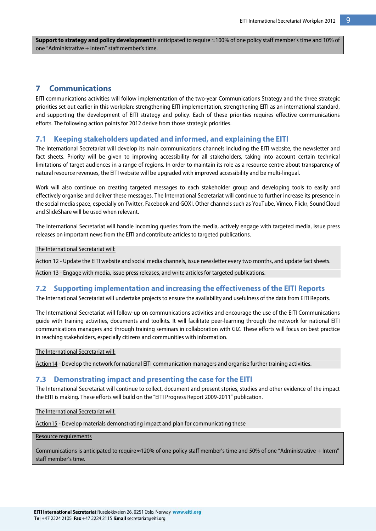**Support to strategy and policy development** is anticipated to require ≈100% of one policy staff member's time and 10% of one "Administrative + Intern" staff member's time.

## **7 Communications**

EITI communications activities will follow implementation of the two-year Communications Strategy and the three strategic priorities set out earlier in this workplan: strengthening EITI implementation, strengthening EITI as an international standard, and supporting the development of EITI strategy and policy. Each of these priorities requires effective communications efforts. The following action points for 2012 derive from those strategic priorities.

## **7.1 Keeping stakeholders updated and informed, and explaining the EITI**

The International Secretariat will develop its main communications channels including the EITI website, the newsletter and fact sheets. Priority will be given to improving accessibility for all stakeholders, taking into account certain technical limitations of target audiences in a range of regions. In order to maintain its role as a resource centre about transparency of natural resource revenues, the EITI website will be upgraded with improved accessibility and be multi-lingual.

Work will also continue on creating targeted messages to each stakeholder group and developing tools to easily and effectively organise and deliver these messages. The International Secretariat will continue to further increase its presence in the social media space, especially on Twitter, Facebook and GOXI. Other channels such as YouTube, Vimeo, Flickr, SoundCloud and SlideShare will be used when relevant.

The International Secretariat will handle incoming queries from the media, actively engage with targeted media, issue press releases on important news from the EITI and contribute articles to targeted publications.

#### The International Secretariat will:

Action 12 - Update the EITI website and social media channels, issue newsletter every two months, and update fact sheets.

Action 13 - Engage with media, issue press releases, and write articles for targeted publications.

## **7.2 Supporting implementation and increasing the effectiveness of the EITI Reports**

The International Secretariat will undertake projects to ensure the availability and usefulness of the data from EITI Reports.

The International Secretariat will follow-up on communications activities and encourage the use of the EITI Communications guide with training activities, documents and toolkits. It will facilitate peer-learning through the network for national EITI communications managers and through training seminars in collaboration with GIZ. These efforts will focus on best practice in reaching stakeholders, especially citizens and communities with information.

The International Secretariat will:

Action14 - Develop the network for national EITI communication managers and organise further training activities.

## **7.3 Demonstrating impact and presenting the case for the EITI**

The International Secretariat will continue to collect, document and present stories, studies and other evidence of the impact the EITI is making. These efforts will build on the "EITI Progress Report 2009-2011" publication.

The International Secretariat will:

Action15 - Develop materials demonstrating impact and plan for communicating these

Resource requirements

Communications is anticipated to require≈120% of one policy staff member's time and 50% of one "Administrative + Intern" staff member's time.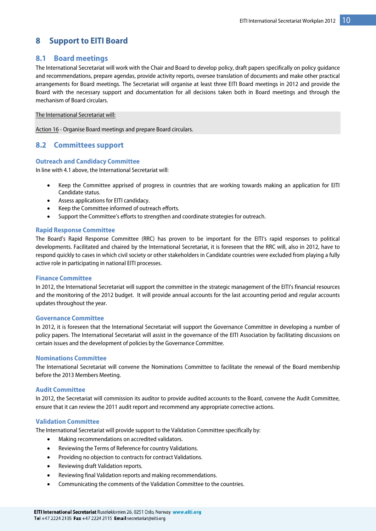## **8 Support to EITI Board**

## **8.1 Board meetings**

The International Secretariat will work with the Chair and Board to develop policy, draft papers specifically on policy guidance and recommendations, prepare agendas, provide activity reports, oversee translation of documents and make other practical arrangements for Board meetings. The Secretariat will organise at least three EITI Board meetings in 2012 and provide the Board with the necessary support and documentation for all decisions taken both in Board meetings and through the mechanism of Board circulars.

### The International Secretariat will:

Action 16 - Organise Board meetings and prepare Board circulars.

## **8.2 Committees support**

## **Outreach and Candidacy Committee**

In line with 4.1 above, the International Secretariat will:

- Keep the Committee apprised of progress in countries that are working towards making an application for EITI Candidate status.
- Assess applications for EITI candidacy.
- Keep the Committee informed of outreach efforts.
- Support the Committee's efforts to strengthen and coordinate strategies for outreach.

## **Rapid Response Committee**

The Board's Rapid Response Committee (RRC) has proven to be important for the EITI's rapid responses to political developments. Facilitated and chaired by the International Secretariat, it is foreseen that the RRC will, also in 2012, have to respond quickly to cases in which civil society or other stakeholders in Candidate countries were excluded from playing a fully active role in participating in national EITI processes.

#### **Finance Committee**

In 2012, the International Secretariat will support the committee in the strategic management of the EITI's financial resources and the monitoring of the 2012 budget. It will provide annual accounts for the last accounting period and regular accounts updates throughout the year.

#### **Governance Committee**

In 2012, it is foreseen that the International Secretariat will support the Governance Committee in developing a number of policy papers. The International Secretariat will assist in the governance of the EITI Association by facilitating discussions on certain issues and the development of policies by the Governance Committee.

#### **Nominations Committee**

The International Secretariat will convene the Nominations Committee to facilitate the renewal of the Board membership before the 2013 Members Meeting.

## **Audit Committee**

In 2012, the Secretariat will commission its auditor to provide audited accounts to the Board, convene the Audit Committee, ensure that it can review the 2011 audit report and recommend any appropriate corrective actions.

#### **Validation Committee**

The International Secretariat will provide support to the Validation Committee specifically by:

- Making recommendations on accredited validators.
- Reviewing the Terms of Reference for country Validations.
- Providing no objection to contracts for contract Validations.
- Reviewing draft Validation reports.
- Reviewing final Validation reports and making recommendations.
- Communicating the comments of the Validation Committee to the countries.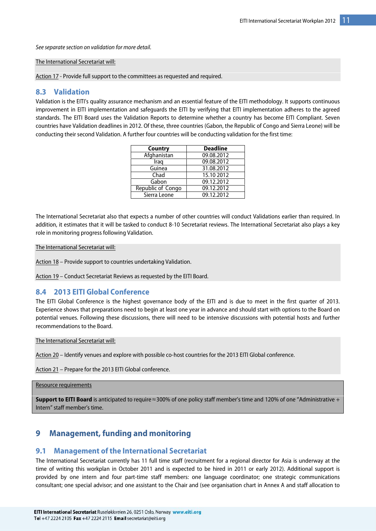*See separate section on validation for more detail.*

#### The International Secretariat will:

Action 17 - Provide full support to the committees as requested and required.

## **8.3 Validation**

Validation is the EITI's quality assurance mechanism and an essential feature of the EITI methodology. It supports continuous improvement in EITI implementation and safeguards the EITI by verifying that EITI implementation adheres to the agreed standards. The EITI Board uses the Validation Reports to determine whether a country has become EITI Compliant. Seven countries have Validation deadlines in 2012. Of these, three countries (Gabon, the Republic of Congo and Sierra Leone) will be conducting their second Validation. A further four countries will be conducting validation for the first time:

| <b>Country</b>    | <b>Deadline</b> |
|-------------------|-----------------|
| Afghanistan       | 09.08.2012      |
| Iraq              | 09.08.2012      |
| Guinea            | 31.08.2012      |
| Chad              | 15.10 2012      |
| Gabon             | 09.12.2012      |
| Republic of Congo | 09.12.2012      |
| Sierra Leone      | 09.12.2012      |

The International Secretariat also that expects a number of other countries will conduct Validations earlier than required. In addition, it estimates that it will be tasked to conduct 8-10 Secretariat reviews. The International Secretariat also plays a key role in monitoring progress following Validation.

The International Secretariat will:

Action 18 – Provide support to countries undertaking Validation.

Action 19 – Conduct Secretariat Reviews as requested by the EITI Board.

## **8.4 2013 EITI Global Conference**

The EITI Global Conference is the highest governance body of the EITI and is due to meet in the first quarter of 2013. Experience shows that preparations need to begin at least one year in advance and should start with options to the Board on potential venues. Following these discussions, there will need to be intensive discussions with potential hosts and further recommendations to the Board.

The International Secretariat will:

Action 20 – Identify venues and explore with possible co-host countries for the 2013 EITI Global conference.

Action 21 – Prepare for the 2013 EITI Global conference.

Resource requirements

**Support to EITI Board** is anticipated to require≈300% of one policy staff member's time and 120% of one "Administrative + Intern" staff member's time.

## **9 Management, funding and monitoring**

## **9.1 Management of the International Secretariat**

The International Secretariat currently has 11 full time staff (recruitment for a regional director for Asia is underway at the time of writing this workplan in October 2011 and is expected to be hired in 2011 or early 2012). Additional support is provided by one intern and four part-time staff members: one language coordinator; one strategic communications consultant; one special advisor; and one assistant to the Chair and (see organisation chart in Annex A and staff allocation to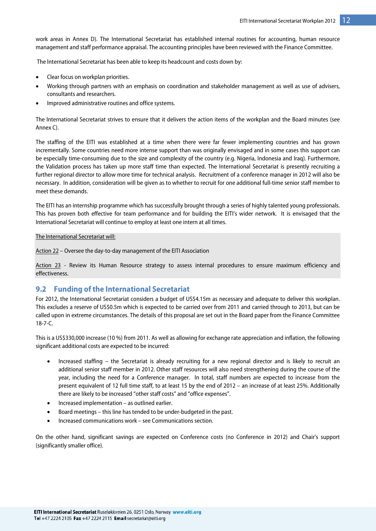work areas in Annex D). The International Secretariat has established internal routines for accounting, human resource management and staff performance appraisal. The accounting principles have been reviewed with the Finance Committee.

The International Secretariat has been able to keep its headcount and costs down by:

- Clear focus on workplan priorities.
- Working through partners with an emphasis on coordination and stakeholder management as well as use of advisers, consultants and researchers.
- Improved administrative routines and office systems.

The International Secretariat strives to ensure that it delivers the action items of the workplan and the Board minutes (see Annex C).

The staffing of the EITI was established at a time when there were far fewer implementing countries and has grown incrementally. Some countries need more intense support than was originally envisaged and in some cases this support can be especially time-consuming due to the size and complexity of the country (e.g. Nigeria, Indonesia and Iraq). Furthermore, the Validation process has taken up more staff time than expected. The International Secretariat is presently recruiting a further regional director to allow more time for technical analysis. Recruitment of a conference manager in 2012 will also be necessary. In addition, consideration will be given as to whether to recruit for one additional full-time senior staff member to meet these demands.

The EITI has an internship programme which has successfully brought through a series of highly talented young professionals. This has proven both effective for team performance and for building the EITI's wider network. It is envisaged that the International Secretariat will continue to employ at least one intern at all times.

#### The International Secretariat will:

Action 22 – Oversee the day-to-day management of the EITI Association

Action 23 - Review its Human Resource strategy to assess internal procedures to ensure maximum efficiency and effectiveness.

## **9.2 Funding of the International Secretariat**

For 2012, the International Secretariat considers a budget of US\$4.15m as necessary and adequate to deliver this workplan. This excludes a reserve of US\$0.5m which is expected to be carried over from 2011 and carried through to 2013, but can be called upon in extreme circumstances. The details of this proposal are set out in the Board paper from the Finance Committee 18-7-C.

This is a US\$330,000 increase (10 %) from 2011. As well as allowing for exchange rate appreciation and inflation, the following significant additional costs are expected to be incurred:

- Increased staffing the Secretariat is already recruiting for a new regional director and is likely to recruit an additional senior staff member in 2012. Other staff resources will also need strengthening during the course of the year, including the need for a Conference manager. In total, staff numbers are expected to increase from the present equivalent of 12 full time staff, to at least 15 by the end of 2012 – an increase of at least 25%. Additionally there are likely to be increased "other staff costs" and "office expenses".
- Increased implementation as outlined earlier.
- Board meetings this line has tended to be under-budgeted in the past.
- Increased communications work see Communications section.

On the other hand, significant savings are expected on Conference costs (no Conference in 2012) and Chair's support (significantly smaller office).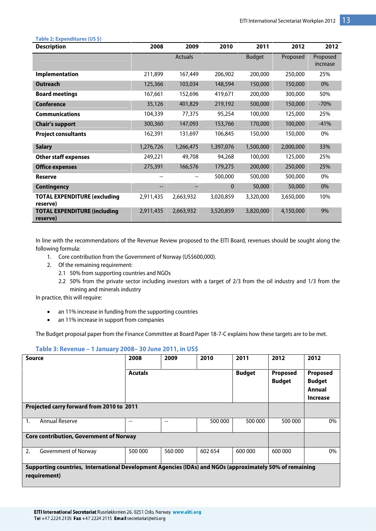| Table 2: Expenditures (US \$)                   |           |                          |              |               |           |                      |
|-------------------------------------------------|-----------|--------------------------|--------------|---------------|-----------|----------------------|
| <b>Description</b>                              | 2008      | 2009                     | 2010         | 2011          | 2012      | 2012                 |
|                                                 |           | <b>Actuals</b>           |              | <b>Budget</b> | Proposed  | Proposed<br>increase |
| Implementation                                  | 211,899   | 167,449                  | 206,902      | 200,000       | 250,000   | 25%                  |
| <b>Outreach</b>                                 | 125,366   | 103,034                  | 148,594      | 150,000       | 150,000   | 0%                   |
| <b>Board meetings</b>                           | 167,661   | 152,696                  | 419,671      | 200,000       | 300,000   | 50%                  |
| <b>Conference</b>                               | 35,126    | 401,829                  | 219,192      | 500,000       | 150,000   | $-70%$               |
| <b>Communications</b>                           | 104,339   | 77,375                   | 95,254       | 100,000       | 125,000   | 25%                  |
| <b>Chair's support</b>                          | 300,360   | 147,093                  | 153,766      | 170,000       | 100,000   | $-41%$               |
| <b>Project consultants</b>                      | 162,391   | 131,697                  | 106,845      | 150,000       | 150,000   | 0%                   |
| <b>Salary</b>                                   | 1,276,726 | 1,266,475                | 1,397,076    | 1,500,000     | 2,000,000 | 33%                  |
| <b>Other staff expenses</b>                     | 249,221   | 49,708                   | 94,268       | 100,000       | 125,000   | 25%                  |
| <b>Office expenses</b>                          | 275,391   | 166,576                  | 179,275      | 200,000       | 250,000   | 25%                  |
| <b>Reserve</b>                                  |           | $\overline{\phantom{m}}$ | 500,000      | 500,000       | 500,000   | 0%                   |
| <b>Contingency</b>                              |           |                          | $\mathbf{0}$ | 50,000        | 50,000    | 0%                   |
| <b>TOTAL EXPENDITURE (excluding</b><br>reserve) | 2,911,435 | 2,663,932                | 3,020,859    | 3,320,000     | 3,650,000 | 10%                  |
| <b>TOTAL EXPENDITURE (including</b><br>reserve) | 2,911,435 | 2,663,932                | 3,520,859    | 3,820,000     | 4,150,000 | 9%                   |

In line with the recommendations of the Revenue Review proposed to the EITI Board, revenues should be sought along the following formula:

- 1. Core contribution from the Government of Norway (US\$600,000).
- 2. Of the remaining requirement:
	- 2.1 50% from supporting countries and NGOs
	- 2.2 50% from the private sector including investors with a target of 2/3 from the oil industry and 1/3 from the mining and minerals industry

In practice, this will require:

- an 11% increase in funding from the supporting countries
- an 11% increase in support from companies

The Budget proposal paper from the Finance Committee at Board Paper 18-7-C explains how these targets are to be met.

## **Table 3: Revenue – 1 January 2008– 30 June 2011, in US\$**

| <b>Source</b>                                                                                                            | 2008           | 2009              | 2010    | 2011          | 2012                      | 2012                                            |  |  |
|--------------------------------------------------------------------------------------------------------------------------|----------------|-------------------|---------|---------------|---------------------------|-------------------------------------------------|--|--|
|                                                                                                                          | <b>Acutals</b> |                   |         | <b>Budget</b> | Proposed<br><b>Budget</b> | Proposed<br><b>Budget</b><br>Annual<br>Increase |  |  |
| Projected carry forward from 2010 to 2011                                                                                |                |                   |         |               |                           |                                                 |  |  |
| 1.<br><b>Annual Reserve</b>                                                                                              | $- -$          | $\qquad \qquad -$ | 500 000 | 500 000       | 500 000                   | 0%                                              |  |  |
| <b>Core contribution, Government of Norway</b>                                                                           |                |                   |         |               |                           |                                                 |  |  |
| 2.<br>Government of Norway                                                                                               | 500 000        | 560 000           | 602 654 | 600 000       | 600 000                   | $0\%$                                           |  |  |
| Supporting countries, International Development Agencies (IDAs) and NGOs (approximately 50% of remaining<br>requirement) |                |                   |         |               |                           |                                                 |  |  |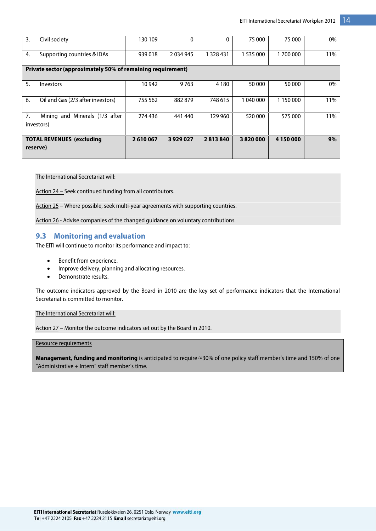| 3.                                                          | Civil society                                | 130 109 | 0             | 0             | 75 000    | 75 000    | 0%  |  |  |
|-------------------------------------------------------------|----------------------------------------------|---------|---------------|---------------|-----------|-----------|-----|--|--|
| 4.                                                          | Supporting countries & IDAs                  | 939018  | 2 0 3 4 9 4 5 | 1 3 2 8 4 3 1 | 1 535 000 | 1700000   | 11% |  |  |
| Private sector (approximately 50% of remaining requirement) |                                              |         |               |               |           |           |     |  |  |
| 5.                                                          | Investors                                    | 10 942  | 9763          | 4 1 8 0       | 50 000    | 50 000    | 0%  |  |  |
| 6.                                                          | Oil and Gas (2/3 after investors)            | 755 562 | 882879        | 748 615       | 1 040 000 | 1 150 000 | 11% |  |  |
| 7.                                                          | Mining and Minerals (1/3 after<br>investors) | 274 436 | 441 440       | 129 960       | 520 000   | 575 000   | 11% |  |  |
|                                                             | <b>TOTAL REVENUES (excluding</b><br>reserve) | 2610067 | 3929027       | 2813840       | 3820000   | 4 150 000 | 9%  |  |  |

#### The International Secretariat will:

Action 24 – Seek continued funding from all contributors.

Action 25 - Where possible, seek multi-year agreements with supporting countries.

Action 26 - Advise companies of the changed guidance on voluntary contributions.

## **9.3 Monitoring and evaluation**

The EITI will continue to monitor its performance and impact to:

- **•** Benefit from experience.
- **•** Improve delivery, planning and allocating resources.
- Demonstrate results.

The outcome indicators approved by the Board in 2010 are the key set of performance indicators that the International Secretariat is committed to monitor.

#### The International Secretariat will:

Action 27 – Monitor the outcome indicators set out by the Board in 2010.

## Resource requirements

**Management, funding and monitoring** is anticipated to require ≈30% of one policy staff member's time and 150% of one "Administrative + Intern" staff member's time.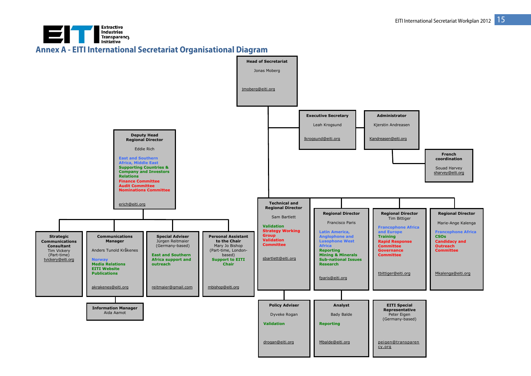

# **Annex A - EITI International Secretariat Organisational Diagram**

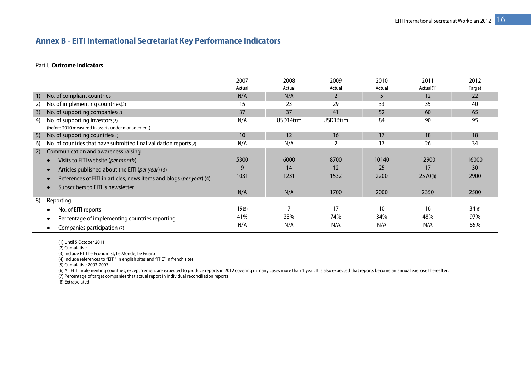## **Annex B - EITI International Secretariat Key Performance Indicators**

## Part I. **Outcome Indicators**

|                                                                                  | 2007   | 2008     | 2009           | 2010   | 2011      | 2012   |
|----------------------------------------------------------------------------------|--------|----------|----------------|--------|-----------|--------|
|                                                                                  | Actual | Actual   | Actual         | Actual | Actual(1) | Target |
| No. of compliant countries<br>1)                                                 | N/A    | N/A      |                | כ      | 12        | 22     |
| No. of implementing countries(2)<br>2)                                           | 15     | 23       | 29             | 33     | 35        | 40     |
| No. of supporting companies(2)<br>3)                                             | 37     | 37       | 41             | 52     | 60        | 65     |
| No. of supporting investors(2)<br>4)                                             | N/A    | USD14trm | USD16trm       | 84     | 90        | 95     |
| (before 2010 measured in assets under management)                                |        |          |                |        |           |        |
| No. of supporting countries(2)<br>5)                                             | 10     | 12       | 16             | 17     | 18        | 18     |
| No. of countries that have submitted final validation reports(2)<br>6)           | N/A    | N/A      | $\overline{2}$ | 17     | 26        | 34     |
| Communication and awareness raising<br>7)                                        |        |          |                |        |           |        |
| Visits to EITI website (per month)<br>$\bullet$                                  | 5300   | 6000     | 8700           | 10140  | 12900     | 16000  |
| Articles published about the EITI (per year) (3)<br>$\bullet$                    | 9      | 14       | 12             | 25     | 17        | 30     |
| References of EITI in articles, news items and blogs (per year) (4)<br>$\bullet$ | 1031   | 1231     | 1532           | 2200   | 2570(8)   | 2900   |
| Subscribers to EITI's newsletter<br>$\bullet$                                    |        |          |                |        |           |        |
|                                                                                  | N/A    | N/A      | 1700           | 2000   | 2350      | 2500   |
| 8)<br>Reporting                                                                  |        |          |                |        |           |        |
| No. of EITI reports<br>٠                                                         | 19(5)  |          | 17             | 10     | 16        | 34(6)  |
| Percentage of implementing countries reporting<br>٠                              | 41%    | 33%      | 74%            | 34%    | 48%       | 97%    |
| Companies participation (7)<br>٠                                                 | N/A    | N/A      | N/A            | N/A    | N/A       | 85%    |
|                                                                                  |        |          |                |        |           |        |

(1) Until 5 October 2011

(2) Cumulative

(3) Include FT,The Economist, Le Monde, Le Figaro

(4) Include references to "EITI" in english sites and "ITIE" in french sites

(5) Cumulative 2003-2007

(6) All EITI implementing countries, except Yemen, are expected to produce reports in 2012 covering in many cases more than 1 year. It is also expected that reports become an annual exercise thereafter.

(7) Percentage of target companies that actual report in individual reconciliation reports

(8) Extrapolated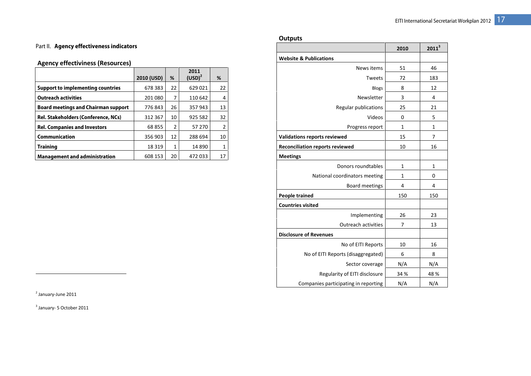## Part II. **Agency effectiveness indicators**

## **Agency effectiviness (Resources)**

|                                            | 2010 (USD) | %  | 2011<br>$(USD)^2$ | %  |
|--------------------------------------------|------------|----|-------------------|----|
| <b>Support to implementing countries</b>   | 678 383    | 22 | 629 021           | 22 |
| <b>Outreach activities</b>                 | 201 080    | 7  | 110 642           | 4  |
| <b>Board meetings and Chairman support</b> | 776843     | 26 | 357 943           | 13 |
| Rel. Stakeholders (Conference, NCs)        | 312 367    | 10 | 925 582           | 32 |
| <b>Rel. Companies and Investors</b>        | 68 855     | 2  | 57 270            | 2  |
| Communication                              | 356 903    | 12 | 288 694           | 10 |
| <b>Training</b>                            | 18 3 19    | 1  | 14890             | 1  |
| <b>Management and administration</b>       | 608 153    | 20 | 472 033           | 17 |

## **Outputs**

|                                        | 2010           | 2011 <sup>3</sup> |
|----------------------------------------|----------------|-------------------|
| <b>Website &amp; Publications</b>      |                |                   |
| News items                             | 51             | 46                |
| <b>Tweets</b>                          | 72             | 183               |
| Blogs                                  | 8              | 12                |
| Newsletter                             | 3              | 4                 |
| Regular publications                   | 25             | 21                |
| Videos                                 | 0              | 5                 |
| Progress report                        | 1              | $\mathbf{1}$      |
| <b>Validations reports reviewed</b>    | 15             | 7                 |
| <b>Reconciliation reports reviewed</b> | 10             | 16                |
| <b>Meetings</b>                        |                |                   |
| Donors roundtables                     | 1              | 1                 |
| National coordinators meeting          | 1              | 0                 |
| Board meetings                         | 4              | 4                 |
| <b>People trained</b>                  | 150            | 150               |
| <b>Countries visited</b>               |                |                   |
| Implementing                           | 26             | 23                |
| <b>Outreach activities</b>             | $\overline{7}$ | 13                |
| <b>Disclosure of Revenues</b>          |                |                   |
| No of EITI Reports                     | 10             | 16                |
| No of EITI Reports (disaggregated)     | 6              | 8                 |
| Sector coverage                        | N/A            | N/A               |
| Regularity of EITI disclosure          | 34 %           | 48 %              |
| Companies participating in reporting   | N/A            | N/A               |

<sup>2</sup> January-June 2011

<sup>3</sup> January- 5 October 2011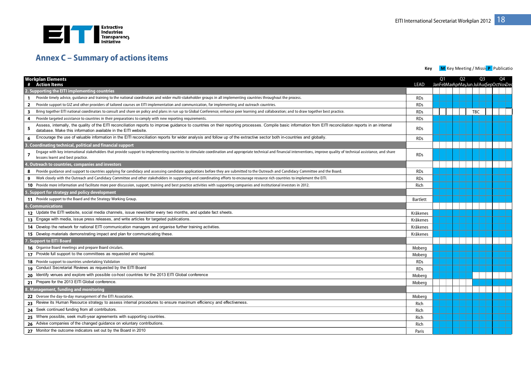

## **Annex C – Summary of actions items**



| <b>Workplan Elements</b><br><b>Action Items</b>                                                                                                                                                                                                                               | LEAD       | 01<br>JanFebMarAprMayJun Jul AucSepOctNovDeo | Q <sub>2</sub> | Q <sub>3</sub> | 04 |
|-------------------------------------------------------------------------------------------------------------------------------------------------------------------------------------------------------------------------------------------------------------------------------|------------|----------------------------------------------|----------------|----------------|----|
| 2. Supporting the EITI implementing countries                                                                                                                                                                                                                                 |            |                                              |                |                |    |
| Provide timely advice, quidance and training to the national coordinators and wider multi-stakeholder groups in all implementing countries throughout the process.                                                                                                            | <b>RDs</b> |                                              |                |                |    |
| Provide support to GIZ and other providers of tailored courses on EITI implementation and communication, for implementing and outreach countries.<br>2                                                                                                                        | <b>RDs</b> |                                              |                |                |    |
| Bring together EITI national coordinators to consult and share on policy and plans in run up to Global Conference; enhance peer learning and collaboration; and to draw together best practice.<br>3                                                                          | <b>RDs</b> |                                              |                | <b>TBC</b>     |    |
| Provide targeted assistance to countries in their preparations to comply with new reporting requirements.                                                                                                                                                                     | <b>RDs</b> |                                              |                |                |    |
| Assess, internally, the quality of the EITI reconciliation reports to improve guidance to countries on their reporting processes. Compile basic information from EITI reconciliation reports in an internal<br>database. Make this information available in the EITI website. | <b>RDs</b> |                                              |                |                |    |
| Encourage the use of valuable information in the EITI reconciliation reports for wider analysis and follow up of the extractive sector both in-countries and globally.                                                                                                        | <b>RDs</b> |                                              |                |                |    |
| 3. Coordinating technical, political and financial support                                                                                                                                                                                                                    |            |                                              |                |                |    |
| Engage with key international stakeholders that provide support to implementing countries to stimulate coordination and appropriate technical and financial interventions, improve quality of technical assistance, and share<br>lessons learnt and best practice.            | <b>RDs</b> |                                              |                |                |    |
| . Outreach to countries, companies and investors                                                                                                                                                                                                                              |            |                                              |                |                |    |
| Provide quidance and support to countries applying for candidacy and assessing candidate applications before they are submitted to the Outreach and Candidacy Committee and the Board.                                                                                        | <b>RDs</b> |                                              |                |                |    |
| Work closely with the Outreach and Candidacy Committee and other stakeholders in supporting and coordinating efforts to encourage resource rich countries to implement the EITI.                                                                                              | <b>RDs</b> |                                              |                |                |    |
| 10 Provide more information and facilitate more peer discussion, support, training and best practice activities with supporting companies and institutional investors in 2012.                                                                                                | Rich       |                                              |                |                |    |
| 5. Support for strategy and policy development                                                                                                                                                                                                                                |            |                                              |                |                |    |
| 11 Provide support to the Board and the Strategy Working Group.                                                                                                                                                                                                               | Bartlett   |                                              |                |                |    |
| <b>6. Communications</b>                                                                                                                                                                                                                                                      |            |                                              |                |                |    |
| 12 Update the EITI website, social media channels, issue newsletter every two months, and update fact sheets.                                                                                                                                                                 | Kråkenes   |                                              |                |                |    |
| 13 Engage with media, issue press releases, and write articles for targeted publications.                                                                                                                                                                                     | Kråkenes   |                                              |                |                |    |
| 14 Develop the network for national EITI communication managers and organise further training activities.                                                                                                                                                                     | Kråkenes   |                                              |                |                |    |
| 15 Develop materials demonstrating impact and plan for communicating these.                                                                                                                                                                                                   | Kråkenes   |                                              |                |                |    |
| 7. Support to EITI Board                                                                                                                                                                                                                                                      |            |                                              |                |                |    |
| 16 Organise Board meetings and prepare Board circulars.                                                                                                                                                                                                                       | Moberg     |                                              |                |                |    |
| 17 Provide full support to the committees as requested and required.                                                                                                                                                                                                          | Moberg     |                                              |                |                |    |
| 18 Provide support to countries undertaking Validation                                                                                                                                                                                                                        | <b>RDs</b> |                                              |                |                |    |
| Conduct Secretariat Reviews as requested by the EITI Board<br>19                                                                                                                                                                                                              | <b>RDs</b> |                                              |                |                |    |
| Identify venues and explore with possible co-host countries for the 2013 EITI Global conference                                                                                                                                                                               | Moberg     |                                              |                |                |    |
| 21 Prepare for the 2013 EITI Global conference.                                                                                                                                                                                                                               | Moberg     |                                              |                |                |    |
| 8. Management, funding and monitoring                                                                                                                                                                                                                                         |            |                                              |                |                |    |
| 22 Oversee the day-to-day management of the EITI Association.                                                                                                                                                                                                                 | Moberg     |                                              |                |                |    |
| 23 Review its Human Resource strategy to assess internal procedures to ensure maximum efficiency and effectiveness.                                                                                                                                                           | Rich       |                                              |                |                |    |
| 24 Seek continued funding from all contributors.                                                                                                                                                                                                                              | Rich       |                                              |                |                |    |
| 25 Where possible, seek multi-year agreements with supporting countries.                                                                                                                                                                                                      | Rich       |                                              |                |                |    |
| 26 Advise companies of the changed guidance on voluntary contributions.                                                                                                                                                                                                       | Rich       |                                              |                |                |    |
| 27 Monitor the outcome indicators set out by the Board in 2010                                                                                                                                                                                                                | Paris      |                                              |                |                |    |